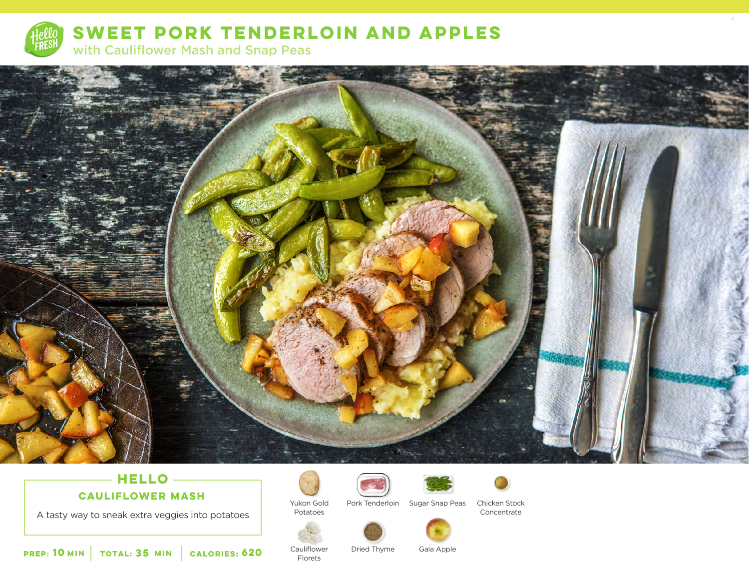

**SWEET PORK TENDERLOIN AND APPLES** 

with Cauliflower Mash and Snap Peas



# **HELLO CAULIFLOWER MASH**

A tasty way to sneak extra veggies into potatoes



Yukon Gold

Cauliflower Florets



Potatoes



Chicken Stock

4



Concentrate